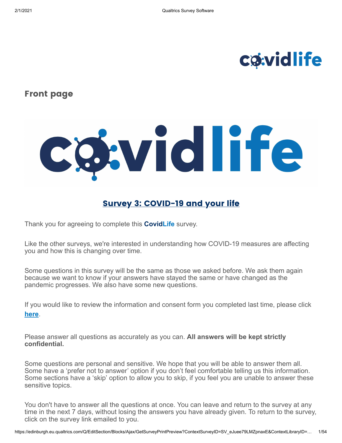# **c**owidlife

### **Front page**

# cgwidlife

### **Survey 3: COVID-19 and your life**

Thank you for agreeing to complete this **CovidLife** survey.

Like the other surveys, we're interested in understanding how COVID-19 measures are affecting you and how this is changing over time.

Some questions in this survey will be the same as those we asked before. We ask them again because we want to know if your answers have stayed the same or have changed as the pandemic progresses. We also have some new questions.

If you would like to review the information and consent form you completed last time, please click **[here](https://edinburgh.eu.qualtrics.com/CP/File.php?F=F_77dGS5qEvCQLUy1)**.

Please answer all questions as accurately as you can. **All answers will be kept strictly confidential.**

Some questions are personal and sensitive. We hope that you will be able to answer them all. Some have a 'prefer not to answer' option if you don't feel comfortable telling us this information. Some sections have a 'skip' option to allow you to skip, if you feel you are unable to answer these sensitive topics.

You don't have to answer all the questions at once. You can leave and return to the survey at any time in the next 7 days, without losing the answers you have already given. To return to the survey, click on the survey link emailed to you.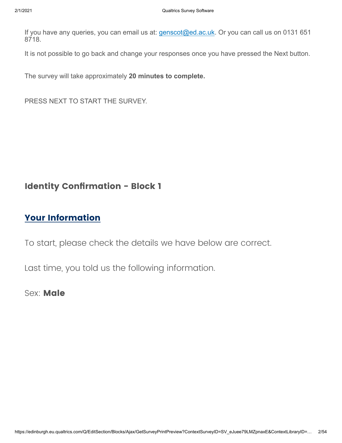If you have any queries, you can email us at: [genscot@ed.ac.uk](mailto:genscot@ed.ac.uk). Or you can call us on 0131 651 8718.

It is not possible to go back and change your responses once you have pressed the Next button.

The survey will take approximately **20 minutes to complete.** 

PRESS NEXT TO START THE SURVEY.

### **Identity Confirmation - Block 1**

### **Your Information**

To start, please check the details we have below are correct.

Last time, you told us the following information.

Sex: **Male**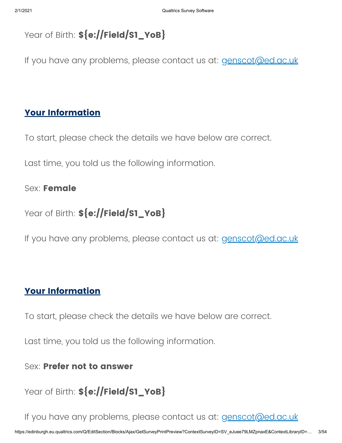```
Year of Birth: ${e://Field/S1_YoB}
```
If you have any problems, please contact us at: [genscot@ed.ac.uk](mailto:genscot@ed.ac.uk)

### **Your Information**

To start, please check the details we have below are correct.

Last time, you told us the following information.

### Sex: **Female**

Year of Birth: **\${e://Field/S1\_YoB}**

If you have any problems, please contact us at: [genscot@ed.ac.uk](mailto:genscot@ed.ac.uk)

### **Your Information**

To start, please check the details we have below are correct.

Last time, you told us the following information.

Sex: **Prefer not to answer**

Year of Birth: \${e://Field/S1\_YoB}

If you have any problems, please contact us at: [genscot@ed.ac.uk](mailto:genscot@ed.ac.uk)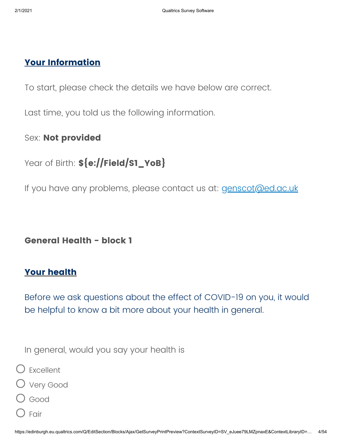### **Your Information**

To start, please check the details we have below are correct.

Last time, you told us the following information.

### Sex: **Not provided**

## Year of Birth: \${e://Field/S1\_YoB}

If you have any problems, please contact us at: [genscot@ed.ac.uk](mailto:genscot@ed.ac.uk)

**General Health - block 1**

### **Your health**

Before we ask questions about the effect of COVID-19 on you, it would be helpful to know a bit more about your health in general.

In general, would you say your health is

Excellent



- Good
- Fair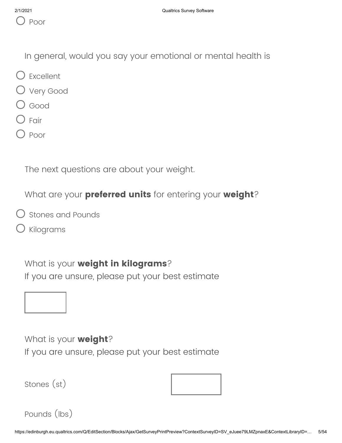In general, would you say your emotional or mental health is

- Excellent
- Very Good
- Good
- Fair
- Poor

The next questions are about your weight.

What are your **preferred units** for entering your **weight**?

- Stones and Pounds
- Kilograms

What is your **weight in kilograms**? If you are unsure, please put your best estimate

### What is your **weight**?

If you are unsure, please put your best estimate

Stones (st)



```
Pounds (lbs)
```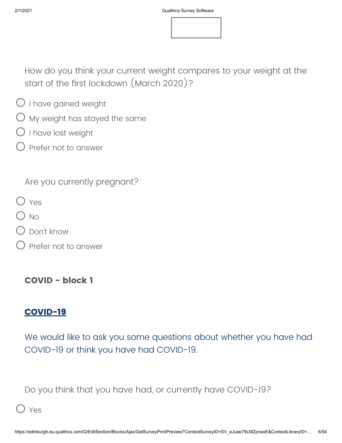How do you think your current weight compares to your weight at the start of the first lockdown (March 2020)?

- $\bigcirc$  I have gained weight
- $\bigcirc$  My weight has stayed the same
- $\bigcirc$  I have lost weight
- $O$  Prefer not to answer

Are you currently pregnant?

- O Yes
- O No
- Don't know
- Prefer not to answer

**COVID - block 1**

### **COVID-19**

We would like to ask you some questions about whether you have had COVID-19 or think you have had COVID-19.

Do you think that you have had, or currently have COVID-19?

### Yes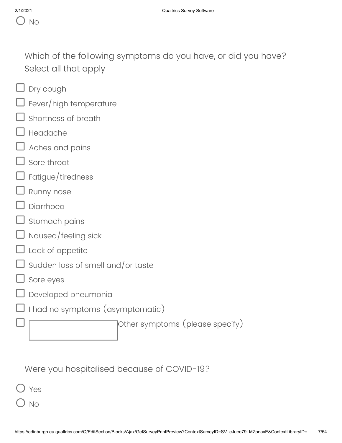Which of the following symptoms do you have, or did you have? Select all that apply

- $\Box$  Dry cough
- Fever/high temperature
- Shortness of breath
- Headache
- Aches and pains
- Sore throat
- Fatigue/tiredness
- Runny nose
- Diarrhoea
- Stomach pains
- Nausea/feeling sick
- Lack of appetite
- Sudden loss of smell and/or taste
- Sore eyes
- Developed pneumonia
- I had no symptoms (asymptomatic)

Other symptoms (please specify)

Were you hospitalised because of COVID-19?

Yes

No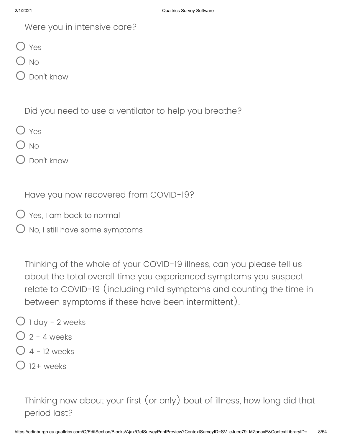| Were you in intensive care? |  |  |  |
|-----------------------------|--|--|--|
|-----------------------------|--|--|--|

O Yes

 $O$  No

Don't know

Did you need to use a ventilator to help you breathe?

O Yes

 $O$  No

Don't know

Have you now recovered from COVID-19?

Yes, I am back to normal

 $O$  No, I still have some symptoms

Thinking of the whole of your COVID-19 illness, can you please tell us about the total overall time you experienced symptoms you suspect relate to COVID-19 (including mild symptoms and counting the time in between symptoms if these have been intermittent).

- 1 day 2 weeks
- $Q$  2 4 weeks
- $O$  4 12 weeks
- $12+$  weeks

Thinking now about your first (or only) bout of illness, how long did that period last?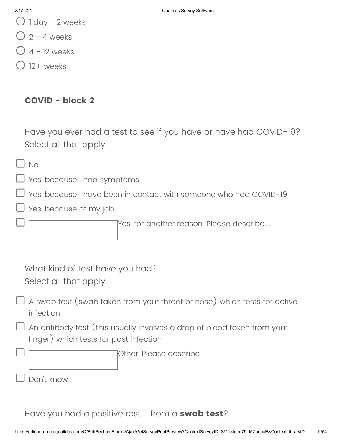- $\bigcup$  1 day 2 weeks
- $Q$  2 4 weeks
- 4 12 weeks
- $12+$  weeks

### **COVID - block 2**

Have you ever had a test to see if you have or have had COVID-19? Select all that apply.

No

Yes, because I had symptoms

Yes, because I have been in contact with someone who had COVID-19

Yes, because of my job

Yes, for another reason. Please describe……

What kind of test have you had? Select all that apply.

 $\Box$  A swab test (swab taken from your throat or nose) which tests for active infection

An antibody test (this usually involves a drop of blood taken from your finger) which tests for past infection

Other, Please describe

Have you had a positive result from a **swab test**?

Don't know

### 2/1/2021 Qualtrics Survey Software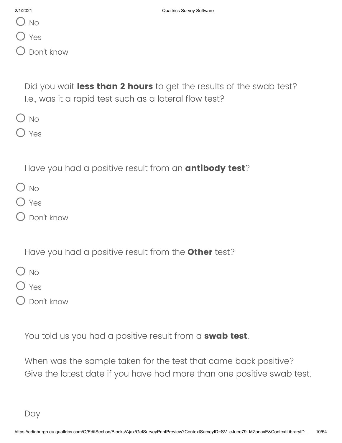| 2/1/2021 |
|----------|
|          |

 $O$  No

O Yes

Don't know

Did you wait **less than 2 hours** to get the results of the swab test? I.e., was it a rapid test such as a lateral flow test?

 $O$  No

O Yes

Have you had a positive result from an **antibody test**?

- $O$  No
- O Yes
- Don't know

Have you had a positive result from the **Other** test?

 $O$  No

O Yes

Don't know

You told us you had a positive result from a **swab test**.

When was the sample taken for the test that came back positive? Give the latest date if you have had more than one positive swab test.

Day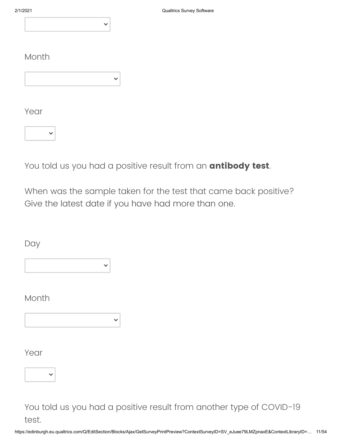### Month

Year



You told us you had a positive result from an **antibody test**.

 $\checkmark$ 

When was the sample taken for the test that came back positive? Give the latest date if you have had more than one.

Day

Month

Year



You told us you had a positive result from another type of COVID-19 test.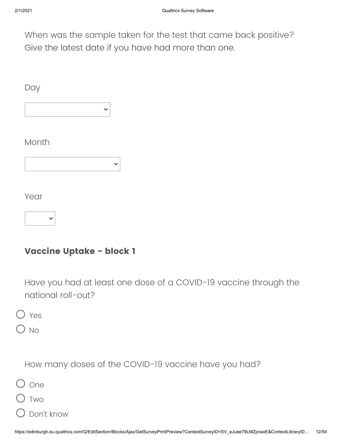When was the sample taken for the test that came back positive? Give the latest date if you have had more than one.

**Day** 

 $\checkmark$ 

### Month



Year



### **Vaccine Uptake - block 1**

Have you had at least one dose of a COVID-19 vaccine through the national roll-out?

Yes

No

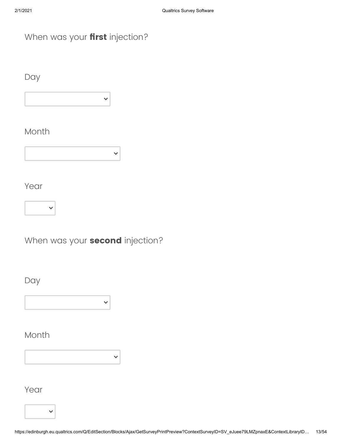### When was your **first** injection?

Day



### Month

|--|

Year



When was your **second** injection?

 $\checkmark$ 

Day

 $\checkmark$ 

Month

Year

 $\ddot{\phantom{0}}$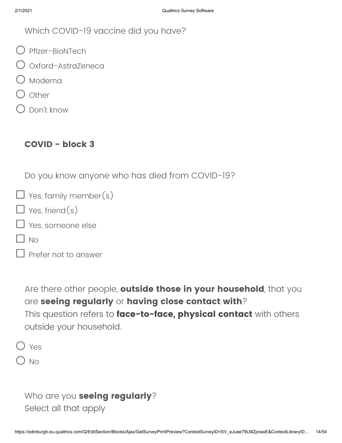Which COVID-19 vaccine did you have?

- Pfizer-BioNTech
- Oxford-AstraZeneca
- O Moderna
- ) Other
- Don't know

### **COVID - block 3**

Do you know anyone who has died from COVID-19?

| $\Box$ Yes, family member(s) |
|------------------------------|
| $\Box$ Yes, friend(s)        |
| $\Box$ Yes, someone else     |

 $\Box$  No

```
\Box Prefer not to answer
```
Are there other people, **outside those in your household**, that you are **seeing regularly** or **having close contact with**? This question refers to **face-to-face, physical contact** with others outside your household.

O Yes

 $\bigcirc$  No

```
Who are you seeing regularly?
Select all that apply
```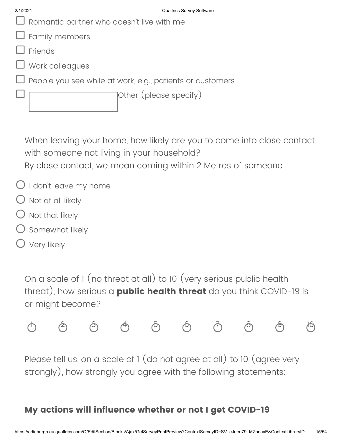| $\Box$ Romantic partner who doesn't live with me                 |
|------------------------------------------------------------------|
| $\Box$ Family members                                            |
| $\Box$ Friends                                                   |
| $\Box$ Work colleagues                                           |
| $\Box$ People you see while at work, e.g., patients or customers |
| Other (please specify)                                           |
|                                                                  |

When leaving your home, how likely are you to come into close contact with someone not living in your household? By close contact, we mean coming within 2 Metres of someone

- $\bigcirc$  I don't leave my home
- $\bigcirc$  Not at all likely
- Not that likely
- Somewhat likely
- O Very likely

On a scale of 1 (no threat at all) to 10 (very serious public health threat), how serious a **public health threat** do you think COVID-19 is or might become?



Please tell us, on a scale of 1 (do not agree at all) to 10 (agree very strongly), how strongly you agree with the following statements:

# **My actions will influence whether or not I get COVID-19**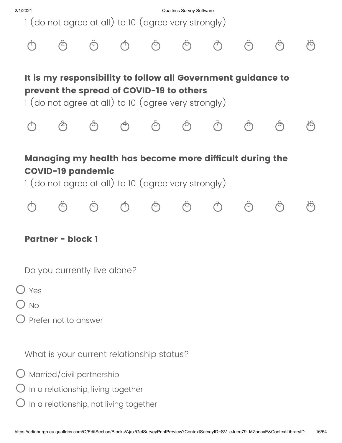

 $\bigcap$  No

Prefer not to answer

What is your current relationship status?

 $\bigcirc$  Married/civil partnership

 $O$  In a relationship, living together

In a relationship, not living together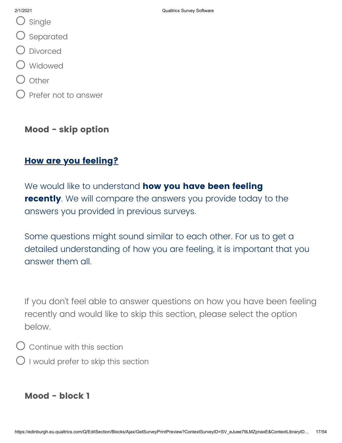- O single
- O Separated
- Divorced
- Widowed
- $\bigcirc$  other
- $\bigcirc$  Prefer not to answer

### **Mood - skip option**

### **How are you feeling?**

We would like to understand **how you have been feeling recently**. We will compare the answers you provide today to the answers you provided in previous surveys.

Some questions might sound similar to each other. For us to get a detailed understanding of how you are feeling, it is important that you answer them all.

If you don't feel able to answer questions on how you have been feeling recently and would like to skip this section, please select the option below.

 $O$  Continue with this section

 $\bigcirc$  I would prefer to skip this section

### **Mood - block 1**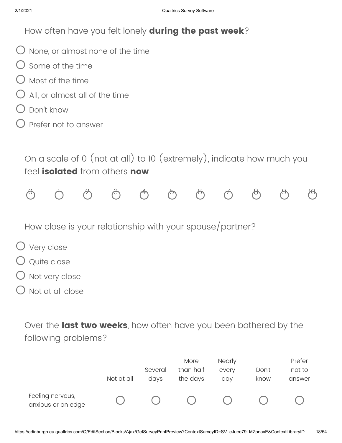How often have you felt lonely **during the past week**?

- $O$  None, or almost none of the time
- $\bigcirc$  Some of the time
- $\bigcirc$  Most of the time
- All, or almost all of the time
- Don't know
- $\bigcirc$  Prefer not to answer

On a scale of 0 (not at all) to 10 (extremely), indicate how much you feel **isolated** from others **now**



How close is your relationship with your spouse/partner?

- O Very close
- Quite close
- ) Not very close
- Not at all close

Over the **last two weeks**, how often have you been bothered by the following problems?

|                                        |            |         | More      | <b>Nearly</b> |       | Prefer |
|----------------------------------------|------------|---------|-----------|---------------|-------|--------|
|                                        |            | Several | than half | every         | Don't | not to |
|                                        | Not at all | days    | the days  | day           | know  | answer |
| Feeling nervous,<br>anxious or on edge |            |         |           |               |       |        |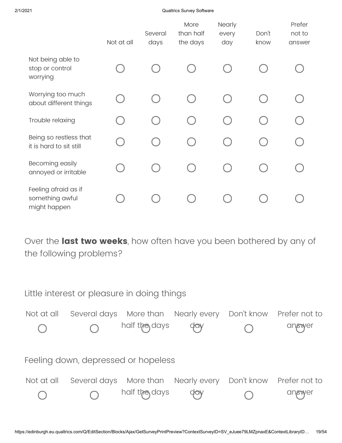2/1/2021 Qualtrics Survey Software

|                                                         | Not at all | Several<br>days | More<br>than half<br>the days | Nearly<br>every<br>day | Don't<br>know | Prefer<br>not to<br>answer |
|---------------------------------------------------------|------------|-----------------|-------------------------------|------------------------|---------------|----------------------------|
| Not being able to<br>stop or control<br>worrying        |            |                 |                               |                        |               |                            |
| Worrying too much<br>about different things             |            |                 |                               |                        |               |                            |
| Trouble relaxing                                        |            |                 |                               |                        |               |                            |
| Being so restless that<br>it is hard to sit still       |            |                 |                               |                        |               |                            |
| Becoming easily<br>annoyed or irritable                 |            |                 |                               |                        |               |                            |
| Feeling afraid as if<br>something awful<br>might happen |            |                 |                               |                        |               |                            |

Over the **last two weeks**, how often have you been bothered by any of the following problems?

Little interest or pleasure in doing things Feeling down, depressed or hopeless Not at all Several days More than Nearly every Don't know Prefer not to half the days day answer Not at all Several days More than half the days Nearly every day Don't know Prefer not to answer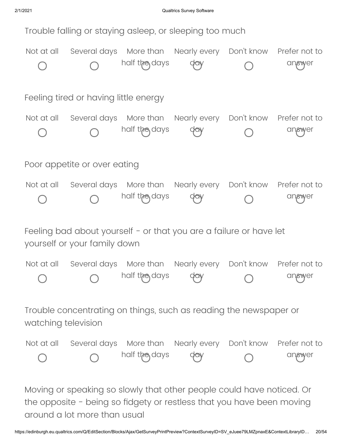

Moving or speaking so slowly that other people could have noticed. Or the opposite - being so fidgety or restless that you have been moving around a lot more than usual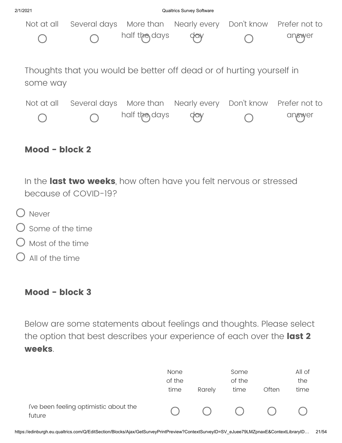



In the **last two weeks**, how often have you felt nervous or stressed because of COVID-19?

- O Never
- $\bigcirc$  Some of the time
- Most of the time
- All of the time

### **Mood - block 3**

Below are some statements about feelings and thoughts. Please select the option that best describes your experience of each over the **last 2 weeks**.

|                                                  | <b>None</b><br>of the<br>time | Rarely     | Some<br>of the<br>time | Often | All of<br>the<br>time |
|--------------------------------------------------|-------------------------------|------------|------------------------|-------|-----------------------|
| I've been feeling optimistic about the<br>future |                               | $\bigcirc$ | $\bigcirc$             | (     |                       |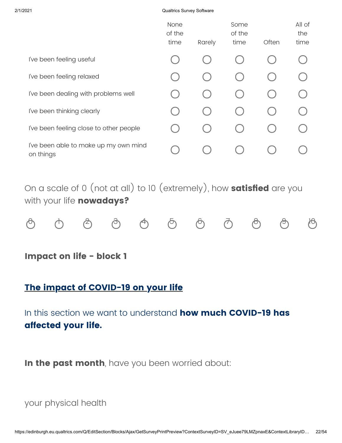### 2/1/2021 Qualtrics Survey Software

|                                                    | None<br>of the<br>time | Rarely | Some<br>of the<br>time | Often | All of<br>the<br>time |
|----------------------------------------------------|------------------------|--------|------------------------|-------|-----------------------|
| I've been feeling useful                           |                        |        |                        |       |                       |
| I've been feeling relaxed                          |                        |        |                        |       |                       |
| I've been dealing with problems well               |                        |        |                        |       |                       |
| I've been thinking clearly                         |                        |        |                        |       |                       |
| I've been feeling close to other people            |                        |        |                        |       |                       |
| I've been able to make up my own mind<br>on things |                        |        |                        |       |                       |

On a scale of 0 (not at all) to 10 (extremely), how **satisfied** are you with your life **nowadays?**

**Impact on life - block 1**

### **The impact of COVID-19 on your life**

In this section we want to understand **how much COVID-19 has affected your life.** 

**In the past month**, have you been worried about:

your physical health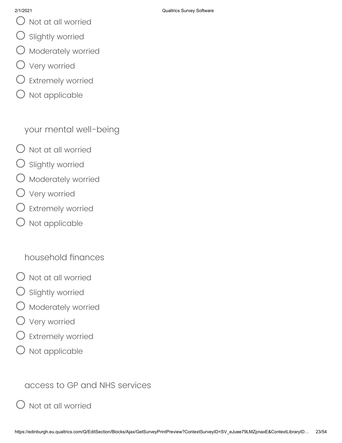- $\bigcirc$  Not at all worried
- Slightly worried
- Moderately worried
- Very worried
- Extremely worried
- Not applicable

your mental well-being

- Not at all worried
- Slightly worried
- Moderately worried
- Very worried
- Extremely worried
- Not applicable

household finances

- $\bigcirc$  Not at all worried
- Slightly worried
- Moderately worried
- Very worried
- Extremely worried
- Not applicable

access to GP and NHS services

Not at all worried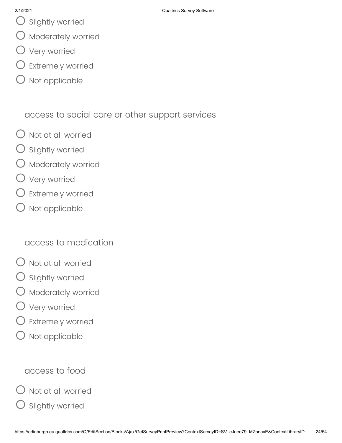- $\bigcirc$  Slightly worried
- $\bigcirc$  Moderately worried
- Very worried
- $O$  Extremely worried
- Not applicable

access to social care or other support services

- $\bigcirc$  Not at all worried
- Slightly worried
- **Moderately worried**
- Very worried
- Extremely worried
- Not applicable

## access to medication

- Not at all worried
- Slightly worried
- Moderately worried
- Very worried
- Extremely worried
- Not applicable

# access to food

Not at all worried

Slightly worried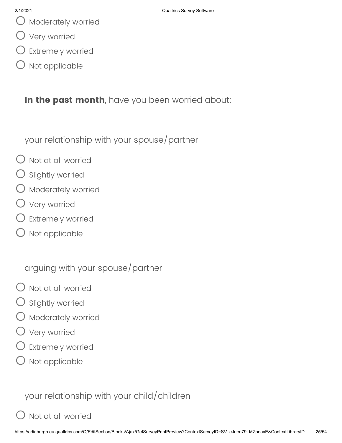- $\bigcup$  Moderately worried
- Very worried
- Extremely worried
- Not applicable

**In the past month**, have you been worried about:

your relationship with your spouse/partner

- Not at all worried
- Slightly worried
- Moderately worried
- Very worried
- $\bigcirc$  Extremely worried
- Not applicable

arguing with your spouse/partner

- $\bigcirc$  Not at all worried
- Slightly worried
- Moderately worried
- Very worried
- Extremely worried
- Not applicable

your relationship with your child/children

# Not at all worried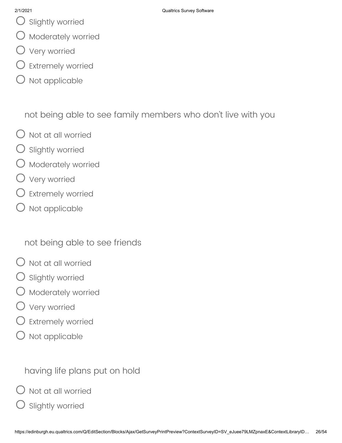- $\bigcirc$  Slightly worried
- $\bigcirc$  Moderately worried
- Very worried
- Extremely worried
- Not applicable

not being able to see family members who don't live with you

- $\bigcirc$  Not at all worried
- Slightly worried
- Moderately worried
- Very worried
- $\bigcirc$  Extremely worried
- Not applicable

not being able to see friends

- Not at all worried
- Slightly worried
- Moderately worried
- Very worried
- Extremely worried
- Not applicable

# having life plans put on hold

Not at all worried

Slightly worried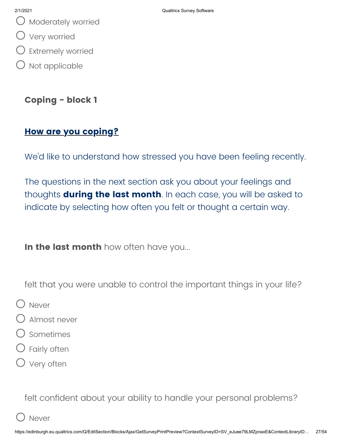- $\bigcup$  Moderately worried
- Very worried
- Extremely worried
- $O$  Not applicable

### **Coping - block 1**

### **How are you coping?**

We'd like to understand how stressed you have been feeling recently.

The questions in the next section ask you about your feelings and thoughts **during the last month**. In each case, you will be asked to indicate by selecting how often you felt or thought a certain way.

**In the last month** how often have you...

felt that you were unable to control the important things in your life?

- O Never
- Almost never
- Sometimes
- Fairly often
- O Very often

felt confident about your ability to handle your personal problems?

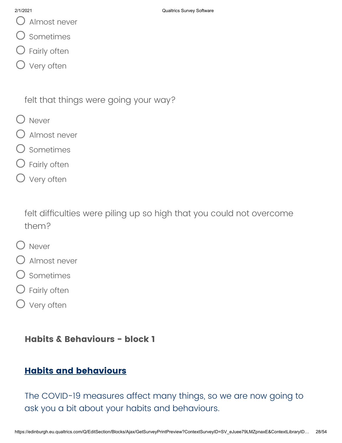Almost never

- Sometimes
- Fairly often
- O Very often

felt that things were going your way?

- O Never
- Almost never
- Sometimes
- Fairly often
- O Very often

felt difficulties were piling up so high that you could not overcome them?

- O Never
- Almost never
- O sometimes
- Fairly often
- O Very often

### **Habits & Behaviours - block 1**

## **Habits and behaviours**

The COVID-19 measures affect many things, so we are now going to ask you a bit about your habits and behaviours.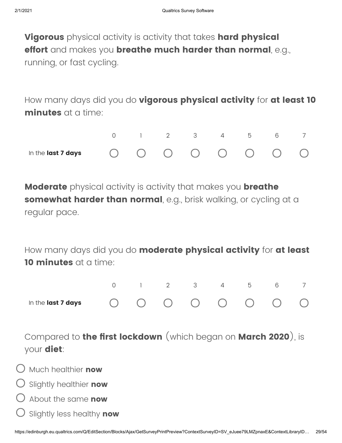**Vigorous** physical activity is activity that takes **hard physical effort** and makes you **breathe much harder than normal**, e.g., running, or fast cycling.

How many days did you do **vigorous physical activity** for **at least 10 minutes** at a time:



**Moderate** physical activity is activity that makes you **breathe somewhat harder than normal**, e.g., brisk walking, or cycling at a regular pace.

How many days did you do **moderate physical activity** for **at least 10 minutes** at a time:



Compared to **the first lockdown** (which began on **March 2020**), is your **diet**:

- Much healthier **now**
- Slightly healthier **now**
- About the same **now**
- Slightly less healthy **now**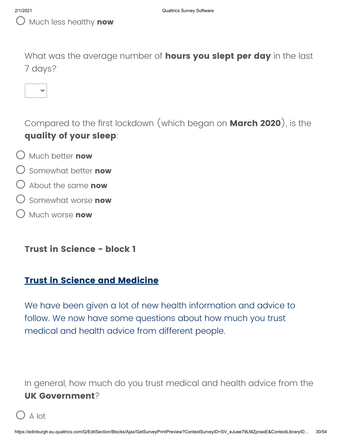What was the average number of **hours you slept per day** in the last 7 days?



Compared to the first lockdown (which began on **March 2020**), is the **quality of your sleep**:

- Much better **now**
- Somewhat better **now**
- About the same **now**
- Somewhat worse **now**
- Much worse **now**

**Trust in Science - block 1**

### **Trust in Science and Medicine**

We have been given a lot of new health information and advice to follow. We now have some questions about how much you trust medical and health advice from different people.

In general, how much do you trust medical and health advice from the **UK Government**?

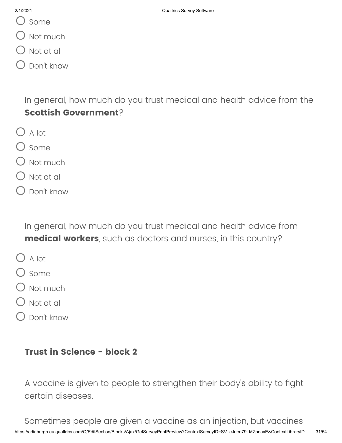- () some
- U Not much
- Not at all
- Don't know

In general, how much do you trust medical and health advice from the **Scottish Government**?

- $O$  A lot
- $O$  Some
- $\bigcirc$  Not much
- Not at all
- Don't know

In general, how much do you trust medical and health advice from **medical workers**, such as doctors and nurses, in this country?

- $O$  A lot
- ) some
- $\bigcirc$  Not much
- $\bigcirc$  Not at all
- Don't know

### **Trust in Science - block 2**

A vaccine is given to people to strengthen their body's ability to fight certain diseases.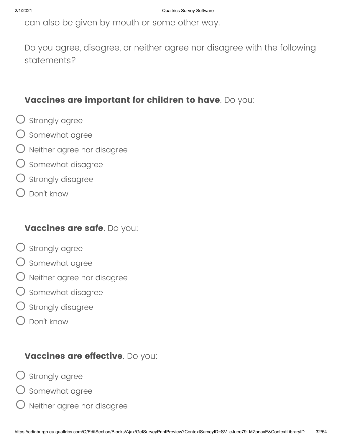can also be given by mouth or some other way.

Do you agree, disagree, or neither agree nor disagree with the following statements?

### **Vaccines are important for children to have**. Do you:

- $\bigcirc$  Strongly agree
- $\bigcirc$  Somewhat agree
- $\bigcirc$  Neither agree nor disagree
- $\bigcirc$  Somewhat disagree
- $\bigcirc$  Strongly disagree
- Don't know

### **Vaccines are safe**. Do you:

- $\bigcirc$  Strongly agree
- $\bigcirc$  Somewhat agree
- $\bigcirc$  Neither agree nor disagree
- $\bigcirc$  Somewhat disagree
- $O$  strongly disagree
- Don't know

### **Vaccines are effective**. Do you:

- $\bigcirc$  strongly agree
- $\bigcirc$  Somewhat agree
	- Neither agree nor disagree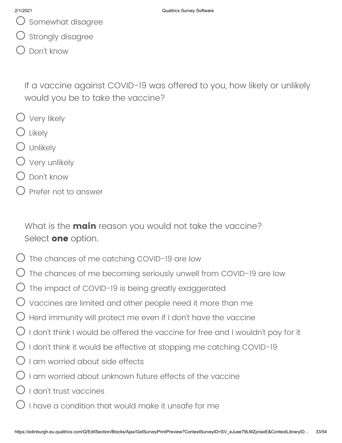- $\bigcup$  Somewhat disagree
- Strongly disagree
- Don't know

If a vaccine against COVID-19 was offered to you, how likely or unlikely would you be to take the vaccine?

- Very likely
- Likely
- $\bigcup$  Unlikely
- $\bigcirc$  Very unlikely
- Don't know
- Prefer not to answer

What is the **main** reason you would not take the vaccine? Select **one** option.

- The chances of me catching COVID-19 are low
- The chances of me becoming seriously unwell from COVID-19 are low
- The impact of COVID-19 is being greatly exaggerated
- $\bigcup$  Vaccines are limited and other people need it more than me
- Herd immunity will protect me even if I don't have the vaccine
- $\bigcirc$  I don't think I would be offered the vaccine for free and I wouldn't pay for it
- $\bigcirc$  I don't think it would be effective at stopping me catching COVID-19
- $\bigcup$  I am worried about side effects
- $\bigcirc$  I am worried about unknown future effects of the vaccine
- $\bigcup$  I don't trust vaccines
- I have a condition that would make it unsafe for me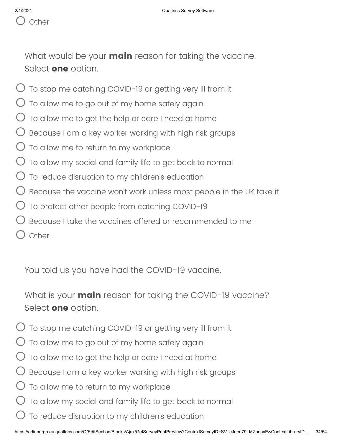

What would be your **main** reason for taking the vaccine. Select **one** option.

- $\bigcirc$  To stop me catching COVID-19 or getting very ill from it
- $\bigcup$  To allow me to go out of my home safely again
- To allow me to get the help or care I need at home
- Because I am a key worker working with high risk groups
- To allow me to return to my workplace
- $\bigcup$  To allow my social and family life to get back to normal
- $\bigcup$  To reduce disruption to my children's education
- $\bigcup$  Because the vaccine won't work unless most people in the UK take it
- $\bigcirc$  To protect other people from catching COVID-19
- Because I take the vaccines offered or recommended to me
- ) Other

You told us you have had the COVID-19 vaccine.

What is your **main** reason for taking the COVID-19 vaccine? Select **one** option.

- $\bigcup$  To stop me catching COVID-19 or getting very ill from it
- To allow me to go out of my home safely again
- To allow me to get the help or care I need at home
- Because I am a key worker working with high risk groups
- To allow me to return to my workplace
- To allow my social and family life to get back to normal
- To reduce disruption to my children's education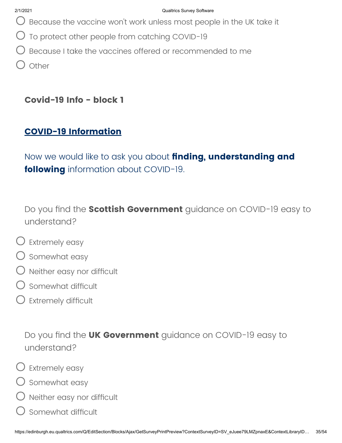- $O$  Because the vaccine won't work unless most people in the UK take it
- $\bigcirc$  To protect other people from catching COVID-19
- Because I take the vaccines offered or recommended to me
- $\bigcirc$  other

## **Covid-19 Info - block 1**

### **COVID-19 Information**

Now we would like to ask you about **finding, understanding and following** information about COVID-19.

Do you find the **Scottish Government** guidance on COVID-19 easy to understand?

- $\bigcirc$  Extremely easy
- $\bigcirc$  Somewhat easy
- $\bigcirc$  Neither easy nor difficult
- Somewhat difficult
- $\bigcirc$  Extremely difficult

Do you find the **UK Government** guidance on COVID-19 easy to understand?

- Extremely easy
- $\bigcirc$  Somewhat easy
- $\bigcirc$  Neither easy nor difficult
- Somewhat difficult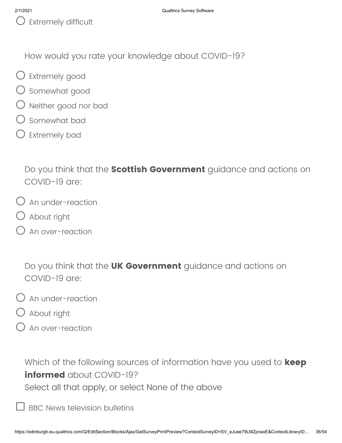$\bigcup$  Extremely difficult

How would you rate your knowledge about COVID-19?

- Extremely good
- O somewhat good
- Neither good nor bad
- Somewhat bad
- Extremely bad

Do you think that the **Scottish Government** guidance and actions on COVID-19 are:

- $O$  An under-reaction
- About right
- $\bigcirc$  An over-reaction

Do you think that the **UK Government** guidance and actions on COVID-19 are:

- $O$  An under-reaction
- $\bigcirc$  About right
- An over-reaction

Which of the following sources of information have you used to **keep informed** about COVID-19? Select all that apply, or select None of the above

BBC News television bulletins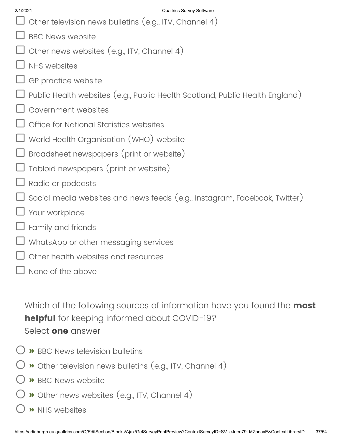- $\Box$  Other television news bulletins (e.g., ITV, Channel 4)
- BBC News website
- Other news websites (e.g., ITV, Channel 4)
- NHS websites
- GP practice website
- Public Health websites (e.g., Public Health Scotland, Public Health England)
- Government websites
- Office for National Statistics websites
- World Health Organisation (WHO) website
- Broadsheet newspapers (print or website)
- Tabloid newspapers (print or website)
- Radio or podcasts
- Social media websites and news feeds (e.g., Instagram, Facebook, Twitter)
- Your workplace
- Family and friends
- WhatsApp or other messaging services
- Other health websites and resources
- None of the above

Which of the following sources of information have you found the **most helpful** for keeping informed about COVID-19? Select **one** answer

- **»** BBC News television bulletins
- **»** Other television news bulletins (e.g., ITV, Channel 4)
- **»** BBC News website
- **»** Other news websites (e.g., ITV, Channel 4)
- **»** NHS websites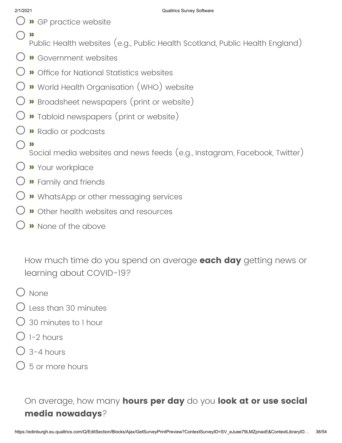- **»** GP practice website
- **»**
	- Public Health websites (e.g., Public Health Scotland, Public Health England)
- **»** Government websites
- **»** Office for National Statistics websites
- **»** World Health Organisation (WHO) website
- **»** Broadsheet newspapers (print or website)
- **»** Tabloid newspapers (print or website)
- **»** Radio or podcasts
- **»**

Social media websites and news feeds (e.g., Instagram, Facebook, Twitter)

- **»** Your workplace
- **»** Family and friends
- **»** WhatsApp or other messaging services
- **»** Other health websites and resources
- **»** None of the above

How much time do you spend on average **each day** getting news or learning about COVID-19?

- $O$  None
- Less than 30 minutes
- 30 minutes to 1 hour
- $\bigcirc$  1-2 hours
- $\bigcirc$  3-4 hours
- 5 or more hours

On average, how many **hours per day** do you **look at or use social media nowadays**?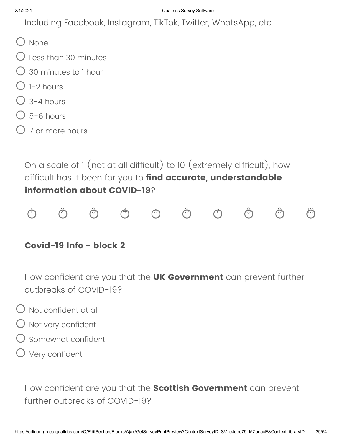Including Facebook, Instagram, TikTok, Twitter, WhatsApp, etc.

- () None
- $\bigcup$  Less than 30 minutes
- 30 minutes to 1 hour
- $\bigcap$  1-2 hours
- $\bigcirc$  3-4 hours
- $O$  5-6 hours
- $\bigcirc$  7 or more hours

On a scale of 1 (not at all difficult) to 10 (extremely difficult), how difficult has it been for you to **find accurate, understandable information about COVID-19**?



### **Covid-19 Info - block 2**

How confident are you that the **UK Government** can prevent further outbreaks of COVID-19?

- $\bigcirc$  Not confident at all
- $O$  Not very confident
- Somewhat confident
- $\bigcirc$  Very confident

How confident are you that the **Scottish Government** can prevent further outbreaks of COVID-19?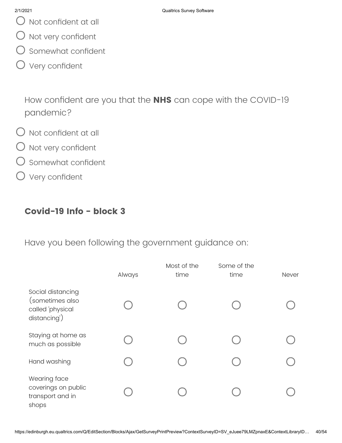- $\bigcirc$  Not confident at all
- $O$  Not very confident
- $\bigcirc$  Somewhat confident
- Very confident

How confident are you that the **NHS** can cope with the COVID-19 pandemic?

- $\bigcirc$  Not confident at all
- $O$  Not very confident
- O somewhat confident
- O Very confident

## **Covid-19 Info - block 3**

Have you been following the government guidance on:

|                                                                          | Always | Most of the<br>time | Some of the<br>time | Never |
|--------------------------------------------------------------------------|--------|---------------------|---------------------|-------|
| Social distancing<br>(sometimes also<br>called 'physical<br>distancing') |        |                     |                     |       |
| Staying at home as<br>much as possible                                   |        |                     |                     |       |
| Hand washing                                                             |        |                     |                     |       |
| Wearing face<br>coverings on public<br>transport and in<br>shops         |        |                     |                     |       |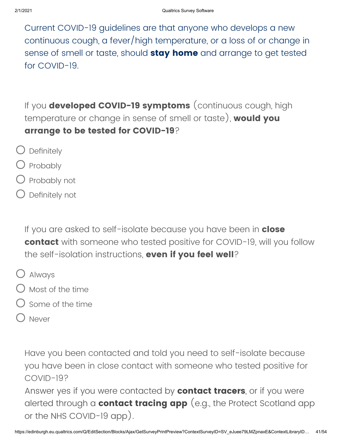Current COVID-19 guidelines are that anyone who develops a new continuous cough, a fever/high temperature, or a loss of or change in sense of smell or taste, should **stay home** and arrange to get tested for COVID-19.

If you **developed COVID-19 symptoms** (continuous cough, high temperature or change in sense of smell or taste), **would you arrange to be tested for COVID-19**?

- $\bigcirc$  Definitely
- $\bigcirc$  Probably
- Probably not
- Definitely not

If you are asked to self-isolate because you have been in **close contact** with someone who tested positive for COVID-19, will you follow the self-isolation instructions, **even if you feel well**?

- Always
- $\bigcirc$  Most of the time
- Some of the time
- Never

Have you been contacted and told you need to self-isolate because you have been in close contact with someone who tested positive for COVID-19?

Answer yes if you were contacted by **contact tracers**, or if you were alerted through a **contact tracing app** (e.g., the Protect Scotland app or the NHS COVID-19 app).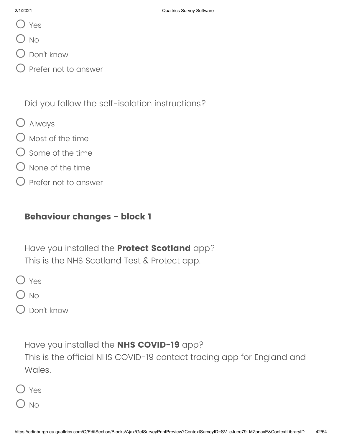- Yes
- $\bigcup$  No
- Don't know
- $\big)$  Prefer not to answer

Did you follow the self-isolation instructions?

- Always
- $\bigcirc$  Most of the time
- Some of the time
- None of the time
- Prefer not to answer

### **Behaviour changes - block 1**

Have you installed the **Protect Scotland** app? This is the NHS Scotland Test & Protect app.

O Yes

 $\bigcirc$  No

Don't know

Have you installed the **NHS COVID-19** app?

This is the official NHS COVID-19 contact tracing app for England and Wales.

 $\overline{\phantom{a}}$  No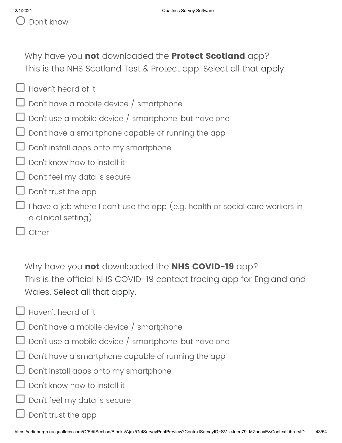Why have you **not** downloaded the **Protect Scotland** app? This is the NHS Scotland Test & Protect app. Select all that apply.

- $\Box$  Haven't heard of it
- Don't have a mobile device / smartphone
- Don't use a mobile device / smartphone, but have one
- Don't have a smartphone capable of running the app
- Don't install apps onto my smartphone
- Don't know how to install it
- Don't feel my data is secure
- Don't trust the app
- I have a job where I can't use the app (e.g. health or social care workers in a clinical setting)
	- **Other**

Why have you **not** downloaded the **NHS COVID-19** app? This is the official NHS COVID-19 contact tracing app for England and Wales. Select all that apply.

- $\Box$  Haven't heard of it
- Don't have a mobile device / smartphone
- Don't use a mobile device / smartphone, but have one
- Don't have a smartphone capable of running the app
- Don't install apps onto my smartphone
- Don't know how to install it
- Don't feel my data is secure
- Don't trust the app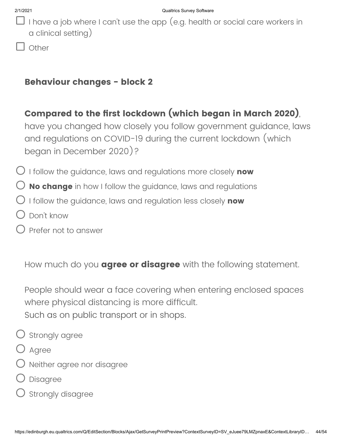- I have a job where I can't use the app (e.g. health or social care workers in a clinical setting)
	- Other

### **Behaviour changes - block 2**

## **Compared to the first lockdown (which began in March 2020)**,

have you changed how closely you follow government guidance, laws and regulations on COVID-19 during the current lockdown (which began in December 2020)?

I follow the guidance, laws and regulations more closely **now**

- **No change** in how I follow the guidance, laws and regulations
- I follow the guidance, laws and regulation less closely **now**
- Don't know
- Prefer not to answer

How much do you **agree or disagree** with the following statement.

People should wear a face covering when entering enclosed spaces where physical distancing is more difficult. Such as on public transport or in shops.

- $\bigcirc$  Strongly agree
- O Agree
- Neither agree nor disagree
- Disagree
- Strongly disagree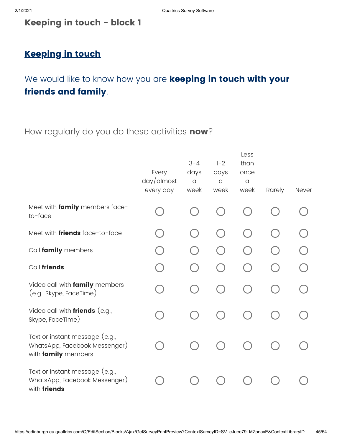### **Keeping in touch - block 1**

## **Keeping in touch**

# We would like to know how you are **keeping in touch with your friends and family**.

### How regularly do you do these activities **now**?

|                                                                                        | Every<br>day/dmost<br>every day | $3 - 4$<br>days<br>$\alpha$<br>week | $1 - 2$<br>days<br>$\alpha$<br>week | Less<br>than<br>once<br>$\alpha$<br>week | Rarely | Never |
|----------------------------------------------------------------------------------------|---------------------------------|-------------------------------------|-------------------------------------|------------------------------------------|--------|-------|
| Meet with family members face-<br>to-face                                              |                                 |                                     |                                     |                                          |        |       |
| Meet with <i>friends</i> face-to-face                                                  |                                 |                                     |                                     |                                          |        |       |
| Call family members                                                                    |                                 |                                     |                                     |                                          |        |       |
| Call friends                                                                           |                                 |                                     |                                     |                                          |        |       |
| Video call with family members<br>(e.g., Skype, FaceTime)                              |                                 |                                     |                                     |                                          |        |       |
| Video call with friends (e.g.,<br>Skype, FaceTime)                                     |                                 |                                     |                                     |                                          |        |       |
| Text or instant message (e.g.,<br>WhatsApp, Facebook Messenger)<br>with family members |                                 |                                     |                                     |                                          |        |       |
| Text or instant message (e.g.,<br>WhatsApp, Facebook Messenger)<br>with friends        |                                 |                                     |                                     |                                          |        |       |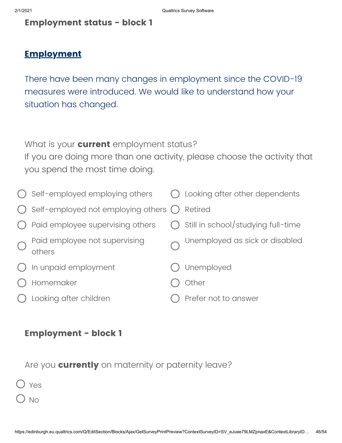### **Employment status - block 1**

### **Employment**

There have been many changes in employment since the COVID-19 measures were introduced. We would like to understand how your situation has changed.

What is your **current** employment status?

If you are doing more than one activity, please choose the activity that you spend the most time doing.

| Self-employed employing others                        | $\bigcirc$ Looking after other dependents     |
|-------------------------------------------------------|-----------------------------------------------|
| Self-employed not employing others $\bigcirc$ Retired |                                               |
| Paid employee supervising others                      | $\bigcirc$ Still in school/studying full-time |
| Paid employee not supervising<br>others               | Unemployed as sick or disabled                |
| In unpaid employment                                  | Unemployed                                    |
| Homemaker                                             | Other                                         |
| Looking after children                                | Prefer not to answer                          |

### **Employment - block 1**

Are you **currently** on maternity or paternity leave?

| . .<br>- - |
|------------|
|            |
|            |

No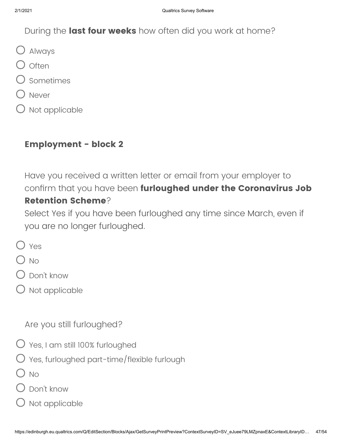### During the **last four weeks** how often did you work at home?

- Always
- $O$  often
- Sometimes
- Never
- Not applicable

### **Employment - block 2**

Have you received a written letter or email from your employer to confirm that you have been **furloughed under the Coronavirus Job Retention Scheme**?

Select Yes if you have been furloughed any time since March, even if you are no longer furloughed.

- O Yes
- $\bigcirc$  No
- Don't know
- $\bigcirc$  Not applicable

### Are you still furloughed?

- Yes, I am still 100% furloughed
- $\bigcirc$  Yes, furloughed part-time/flexible furlough
- $O$  No
- Don't know
- Not applicable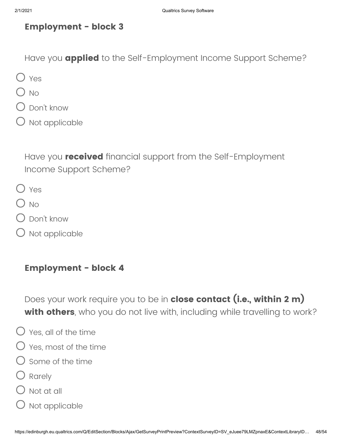### **Employment - block 3**

Have you **applied** to the Self-Employment Income Support Scheme?

- O Yes
- $O$  No
- Don't know
- $\bigcirc$  Not applicable

Have you **received** financial support from the Self-Employment Income Support Scheme?

- O Yes
- $O$  No
- Don't know
- $\bigcirc$  Not applicable

### **Employment - block 4**

Does your work require you to be in **close contact (i.e., within 2 m) with others**, who you do not live with, including while travelling to work?

- $\bigcirc$  Yes, all of the time
- $\bigcirc$  Yes, most of the time
- $\bigcirc$  Some of the time
- O Rarely
- $\bigcirc$  Not at all
- $O$  Not applicable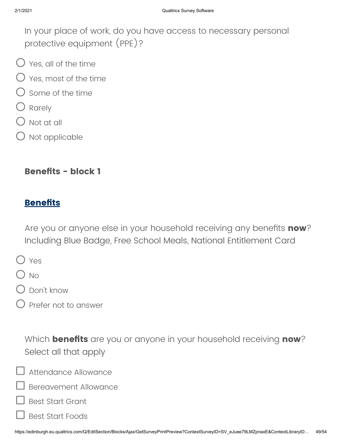In your place of work, do you have access to necessary personal protective equipment (PPE)?

- $\bigcirc$  Yes, all of the time
- $\bigcirc$  Yes, most of the time
- Some of the time
- Rarely
- Not at all
- $\bigcirc$  Not applicable

### **Benefits - block 1**

### **Benefits**

Are you or anyone else in your household receiving any benefits **now**? Including Blue Badge, Free School Meals, National Entitlement Card

- O Yes
- $O$  No
- Don't know
- Prefer not to answer

Which **benefits** are you or anyone in your household receiving **now**? Select all that apply

Attendance Allowance

Bereavement Allowance

Best Start Grant

Best Start Foods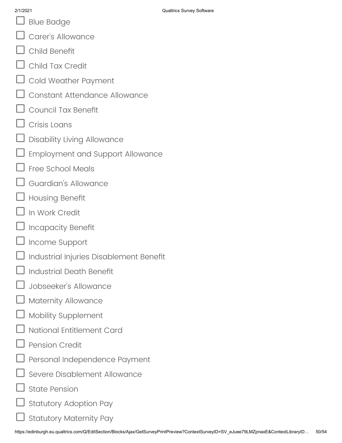- Blue Badge
- Carer's Allowance
- Child Benefit
- Child Tax Credit
- Cold Weather Payment
- Constant Attendance Allowance
- Council Tax Benefit
- Crisis Loans
- Disability Living Allowance
- Employment and Support Allowance
- Free School Meals
- Guardian's Allowance
- Housing Benefit
- In Work Credit
- Incapacity Benefit
- Income Support
- Industrial Injuries Disablement Benefit
- Industrial Death Benefit
- Jobseeker's Allowance
- Maternity Allowance
- Mobility Supplement
- National Entitlement Card
- Pension Credit
- Personal Independence Payment
- Severe Disablement Allowance
- State Pension
- Statutory Adoption Pay
- Statutory Maternity Pay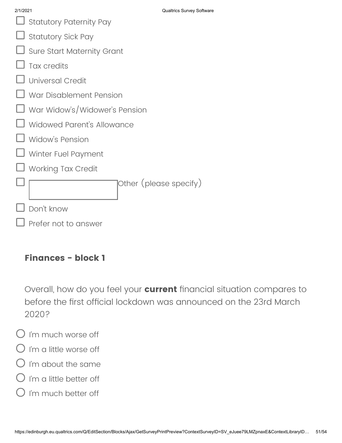| 2/1/2021                          | Qualtrics Survey Software |  |  |
|-----------------------------------|---------------------------|--|--|
| <b>Statutory Paternity Pay</b>    |                           |  |  |
| <b>Statutory Sick Pay</b>         |                           |  |  |
| <b>Sure Start Maternity Grant</b> |                           |  |  |
| <b>Tax credits</b>                |                           |  |  |
| <b>Universal Credit</b>           |                           |  |  |
| War Disablement Pension           |                           |  |  |
| War Widow's/Widower's Pension     |                           |  |  |
| Widowed Parent's Allowance        |                           |  |  |
| Widow's Pension                   |                           |  |  |
| Winter Fuel Payment               |                           |  |  |
| <b>Working Tax Credit</b>         |                           |  |  |
|                                   | Other (please specify)    |  |  |
| Don't know                        |                           |  |  |
| Prefer not to answer              |                           |  |  |

### **Finances - block 1**

Overall, how do you feel your **current** financial situation compares to before the first official lockdown was announced on the 23rd March 2020?

- I'm much worse off
- I'm a little worse off
- $O$  i'm about the same
- $O$  I'm a little better off
- $\bigcirc$  i'm much better off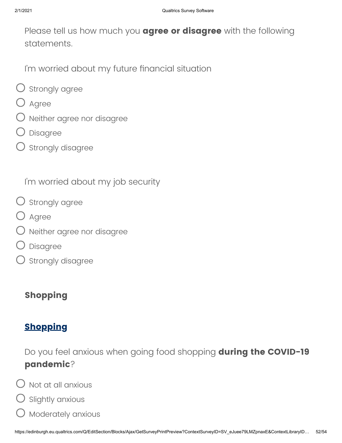Please tell us how much you **agree or disagree** with the following statements.

I'm worried about my future financial situation

- $\bigcirc$  strongly agree
- O Agree
- Neither agree nor disagree
- Disagree
- $\bigcirc$  strongly disagree

I'm worried about my job security

- $\bigcirc$  strongly agree
- O Agree
- Neither agree nor disagree
- Disagree
- Strongly disagree

# **Shopping**

# **Shopping**

Do you feel anxious when going food shopping **during the COVID-19 pandemic**?

- $\bigcup$  Not at all anxious
- Slightly anxious
- Moderately anxious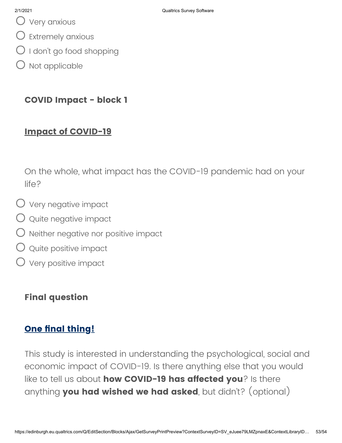Very anxious

- $\bigcirc$  Extremely anxious
- O I don't go food shopping
- $O$  Not applicable

### **COVID Impact - block 1**

### **Impact of COVID-19**

On the whole, what impact has the COVID-19 pandemic had on your life?

- $\bigcirc$  Very negative impact
- $\bigcirc$  quite negative impact
- $\bigcirc$  Neither negative nor positive impact
- $\bigcirc$  quite positive impact
- Very positive impact

### **Final question**

### **One final thing!**

This study is interested in understanding the psychological, social and economic impact of COVID-19. Is there anything else that you would like to tell us about **how COVID-19 has affected you**? Is there anything **you had wished we had asked**, but didn't? (optional)